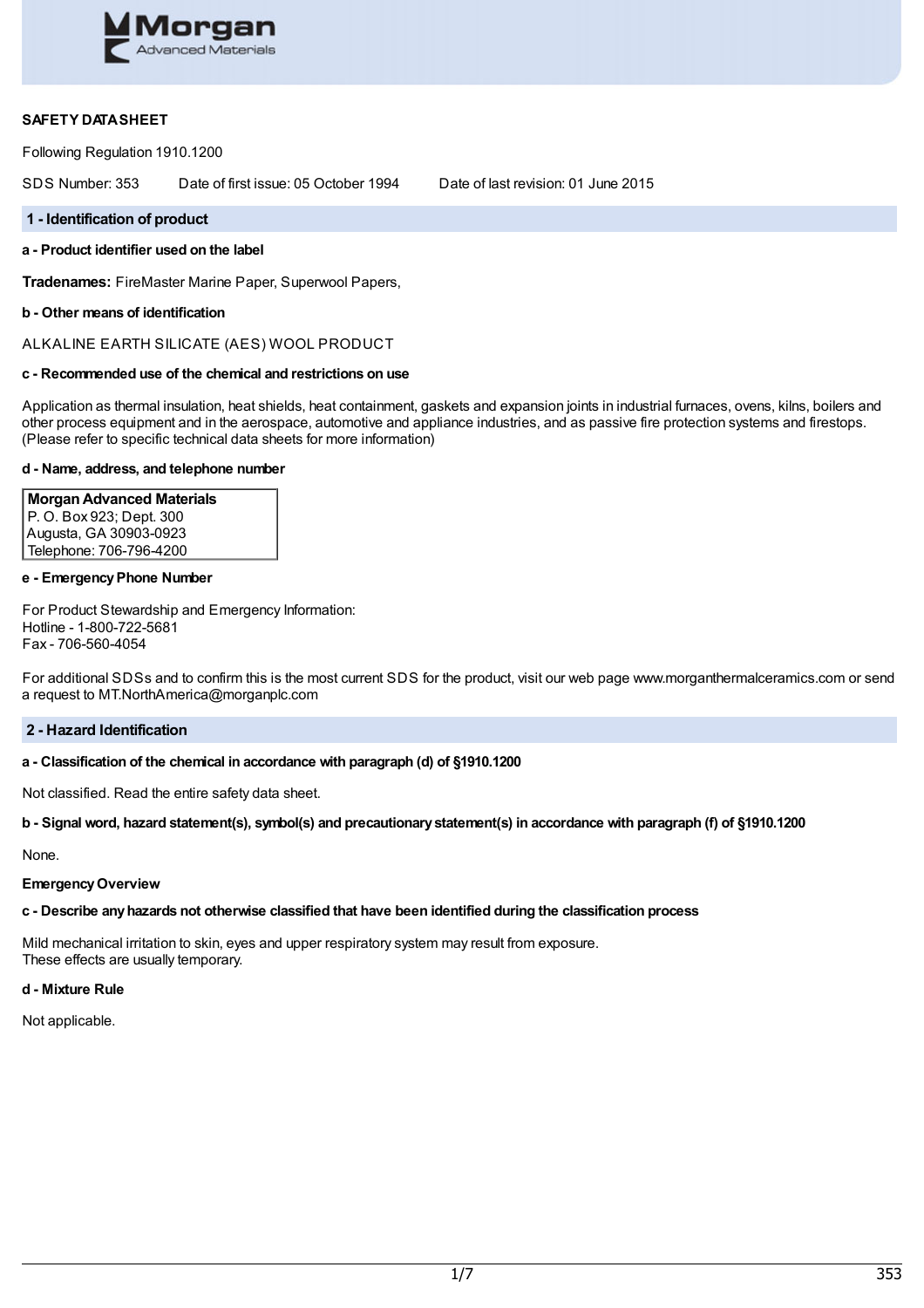

## **SAFETY DATASHEET**

Following Regulation 1910.1200

SDS Number: 353 Date of first issue: 05 October 1994 Date of last revision: 01 June 2015

#### **1 - Identification of product**

# **a - Product identifier used on the label**

**Tradenames:** FireMaster Marine Paper, Superwool Papers,

### **b - Other means of identification**

ALKALINE EARTH SILICATE (AES) WOOL PRODUCT

### **c - Recommended use of the chemical and restrictions on use**

Application as thermal insulation, heat shields, heat containment, gaskets and expansion joints in industrial furnaces, ovens, kilns, boilers and other process equipment and in the aerospace, automotive and appliance industries, and as passive fire protection systems and firestops. (Please refer to specific technical data sheets for more information)

#### **d - Name, address, and telephone number**

# **MorganAdvanced Materials**

P. O. Box 923; Dept. 300 Augusta, GA 30903-0923 Telephone: 706-796-4200

### **e - EmergencyPhone Number**

For Product Stewardship and Emergency Information: Hotline - 1-800-722-5681 Fax - 706-560-4054

For additional SDSs and to confirm this is the most current SDS for the product, visit our web page www.morganthermalceramics.com or send a request to MT.NorthAmerica@morganplc.com

### **2 - Hazard Identification**

### **a - Classification of the chemical in accordance with paragraph (d) of §1910.1200**

Not classified. Read the entire safety data sheet.

### b - Signal word, hazard statement(s), symbol(s) and precautionary statement(s) in accordance with paragraph (f) of §1910.1200

None.

#### **EmergencyOverview**

### **c - Describe anyhazards not otherwise classified that have been identified during the classification process**

Mild mechanical irritation to skin, eyes and upper respiratory system may result from exposure. These effects are usually temporary.

#### **d - Mixture Rule**

Not applicable.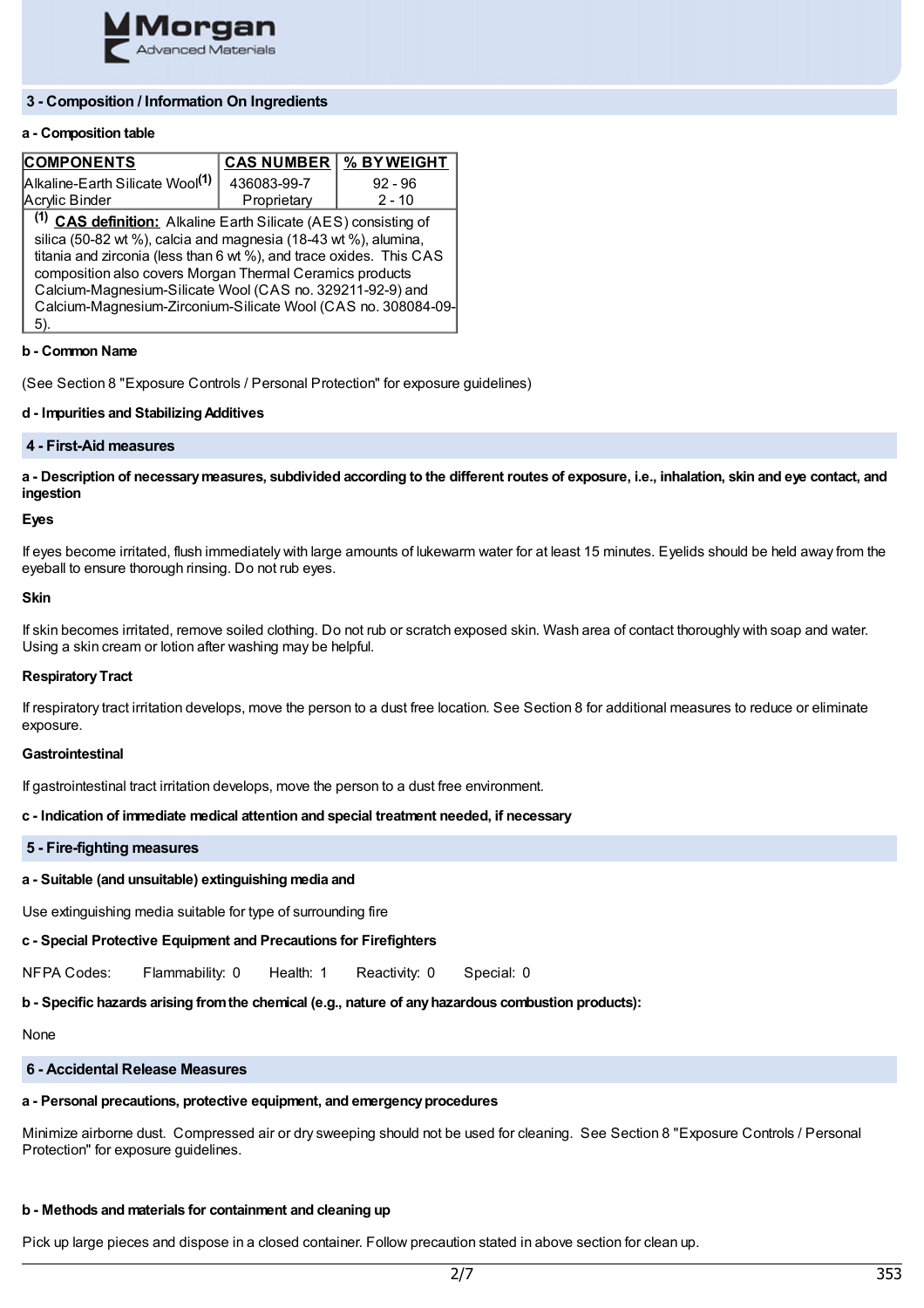

# **3 - Composition / Information On Ingredients**

### **a - Composition table**

| <b>COMPONENTS</b>                                                          | <b>CAS NUMBER</b> | % BYWEIGHT |  |  |
|----------------------------------------------------------------------------|-------------------|------------|--|--|
| Alkaline-Earth Silicate Wool <sup>(1)</sup>                                | 436083-99-7       | $92 - 96$  |  |  |
| Acrylic Binder                                                             | Proprietary       | $2 - 10$   |  |  |
| <sup>(1)</sup> CAS definition: Alkaline Earth Silicate (AES) consisting of |                   |            |  |  |
| silica (50-82 wt %), calcia and magnesia (18-43 wt %), alumina,            |                   |            |  |  |
| titania and zirconia (less than 6 wt %), and trace oxides. This CAS        |                   |            |  |  |
| composition also covers Morgan Thermal Ceramics products                   |                   |            |  |  |
| Calcium-Magnesium-Silicate Wool (CAS no. 329211-92-9) and                  |                   |            |  |  |
| Calcium-Magnesium-Zirconium-Silicate Wool (CAS no. 308084-09-              |                   |            |  |  |
| 5).                                                                        |                   |            |  |  |

#### **b - Common Name**

(See Section 8 "Exposure Controls / Personal Protection" for exposure guidelines)

### **d - Impurities and StabilizingAdditives**

### **4 - First-Aid measures**

a - Description of necessary measures, subdivided according to the different routes of exposure, i.e., inhalation, skin and eye contact, and **ingestion**

#### **Eyes**

If eyes become irritated, flush immediately with large amounts of lukewarm water for at least 15 minutes. Eyelids should be held away from the eyeball to ensure thorough rinsing. Do not rub eyes.

#### **Skin**

If skin becomes irritated, remove soiled clothing. Do not rub or scratch exposed skin. Wash area of contact thoroughly with soap and water. Using a skin cream or lotion after washing may be helpful.

### **RespiratoryTract**

If respiratory tract irritation develops, move the person to a dust free location. See Section 8 for additional measures to reduce or eliminate exposure.

### **Gastrointestinal**

If gastrointestinal tract irritation develops, move the person to a dust free environment.

### **c - Indication of immediate medical attention and special treatment needed, if necessary**

#### **5 - Fire-fighting measures**

### **a - Suitable (and unsuitable) extinguishing media and**

Use extinguishing media suitable for type of surrounding fire

### **c - Special Protective Equipment and Precautions for Firefighters**

NFPA Codes: Flammability: 0 Health: 1 Reactivity: 0 Special: 0

### **b - Specific hazards arising fromthe chemical (e.g., nature of anyhazardous combustion products):**

**None** 

# **6 - Accidental Release Measures**

# **a - Personal precautions, protective equipment, and emergencyprocedures**

Minimize airborne dust. Compressed air or dry sweeping should not be used for cleaning. See Section 8 "Exposure Controls / Personal Protection" for exposure guidelines.

# **b - Methods and materials for containment and cleaning up**

Pick up large pieces and dispose in a closed container. Follow precaution stated in above section for clean up.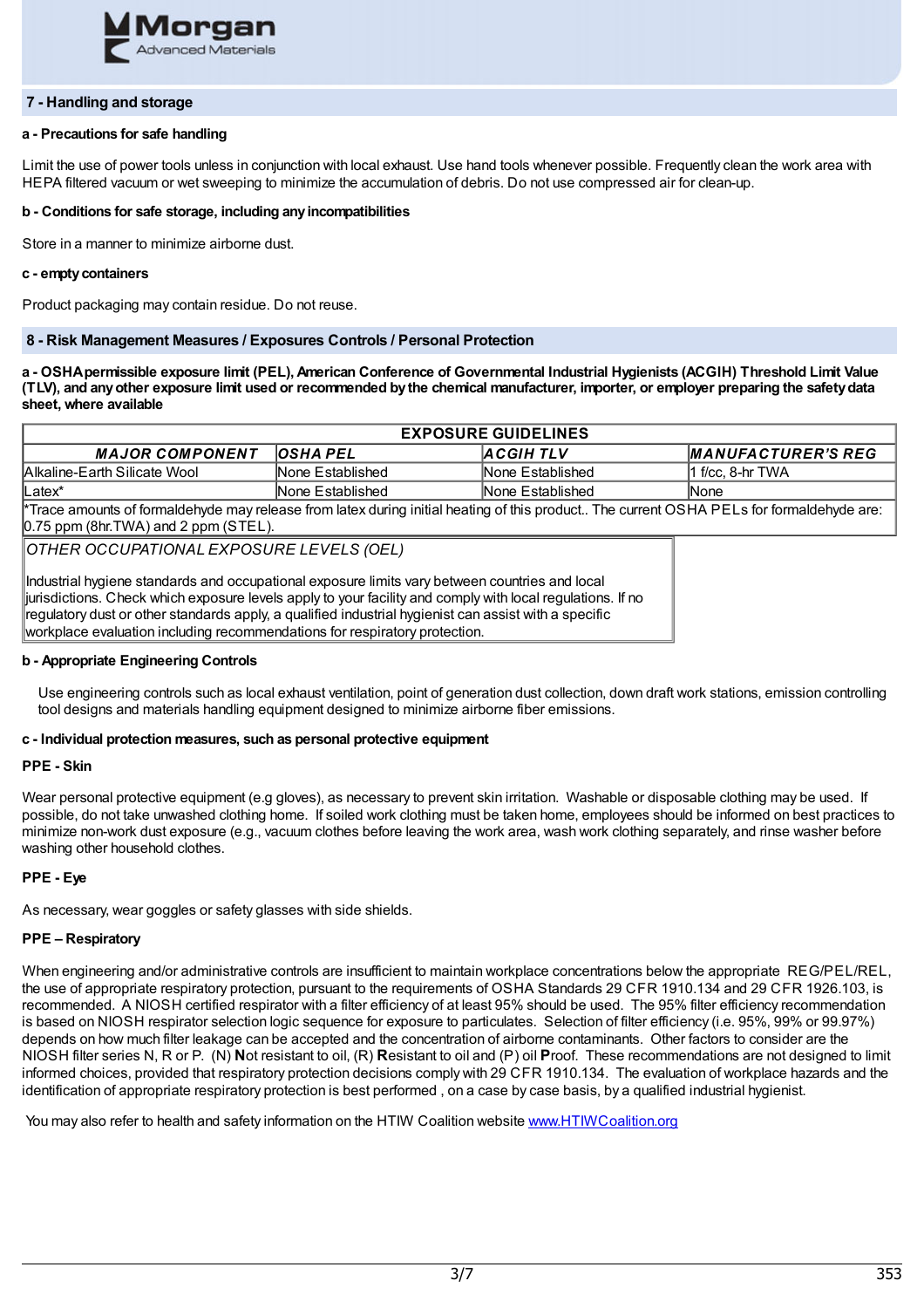

### **7 - Handling and storage**

### **a - Precautions for safe handling**

Limit the use of power tools unless in conjunction with local exhaust. Use hand tools whenever possible. Frequently clean the work area with HEPA filtered vacuum or wet sweeping to minimize the accumulation of debris. Do not use compressed air for clean-up.

### **b - Conditions for safe storage, including anyincompatibilities**

Store in a manner to minimize airborne dust.

#### **c - emptycontainers**

Product packaging may contain residue. Do not reuse.

### **8 - Risk Management Measures / Exposures Controls / Personal Protection**

a - OSHA permissible exposure limit (PEL), American Conference of Governmental Industrial Hygienists (ACGIH) Threshold Limit Value (TLV), and any other exposure limit used or recommended by the chemical manufacturer, importer, or employer preparing the safety data **sheet, where available**

| <b>EXPOSURE GUIDELINES</b>                                                                                                                      |                  |                          |                     |
|-------------------------------------------------------------------------------------------------------------------------------------------------|------------------|--------------------------|---------------------|
| <b>MAJOR COMPONENT</b>                                                                                                                          | <b>OSHA PEL</b>  | <b>ACGIHTLV</b>          | MANUFACTURER'S REG  |
| Alkaline-Earth Silicate Wool                                                                                                                    | None Established | <b>INone Established</b> | $11$ f/cc. 8-hr TWA |
| ⊪Latex*                                                                                                                                         | None Established | None Established         | <b>None</b>         |
| <b>KT</b> arra care and effected the democratic on the fact that the father of the control of the comput OOUA DEL of a fact one old should care |                  |                          |                     |

\*Trace amounts of formaldehyde may release from latex during initial heating of this product.. The current OSHA PELs for formaldehyde are: 0.75 ppm (8hr.TWA) and 2 ppm (STEL).

*OTHER OCCUPATIONAL EXPOSURE LEVELS (OEL)*

Industrial hygiene standards and occupational exposure limits vary between countries and local jurisdictions. Check which exposure levels apply to your facility and comply with local regulations. If no regulatory dust or other standards apply, a qualified industrial hygienist can assist with a specific workplace evaluation including recommendations for respiratory protection.

## **b - Appropriate Engineering Controls**

Use engineering controls such as local exhaust ventilation, point of generation dust collection, down draft work stations, emission controlling tool designs and materials handling equipment designed to minimize airborne fiber emissions.

### **c - Individual protection measures, such as personal protective equipment**

### **PPE - Skin**

Wear personal protective equipment (e.g gloves), as necessary to prevent skin irritation. Washable or disposable clothing may be used. If possible, do not take unwashed clothing home. If soiled work clothing must be taken home, employees should be informed on best practices to minimize non-work dust exposure (e.g., vacuum clothes before leaving the work area, wash work clothing separately, and rinse washer before washing other household clothes.

## **PPE - Eye**

As necessary, wear goggles or safety glasses with side shields.

# **PPE – Respiratory**

When engineering and/or administrative controls are insufficient to maintain workplace concentrations below the appropriate REG/PEL/REL, the use of appropriate respiratory protection, pursuant to the requirements of OSHA Standards 29 CFR 1910.134 and 29 CFR 1926.103, is recommended. A NIOSH certified respirator with a filter efficiency of at least 95% should be used. The 95% filter efficiency recommendation is based on NIOSH respirator selection logic sequence for exposure to particulates. Selection of filter efficiency (i.e. 95%, 99% or 99.97%) depends on how much filter leakage can be accepted and the concentration of airborne contaminants. Other factors to consider are the NIOSH filter series N, R or P. (N) **N**ot resistant to oil, (R) **R**esistant to oil and (P) oil **P**roof. These recommendations are not designed to limit informed choices, provided that respiratory protection decisions comply with 29 CFR 1910.134. The evaluation of workplace hazards and the identification of appropriate respiratory protection is best performed , on a case by case basis, by a qualified industrial hygienist.

You may also refer to health and safety information on the HTIW Coalition website [www.HTIWCoalition.org](http://www.htiwcoalition.org/)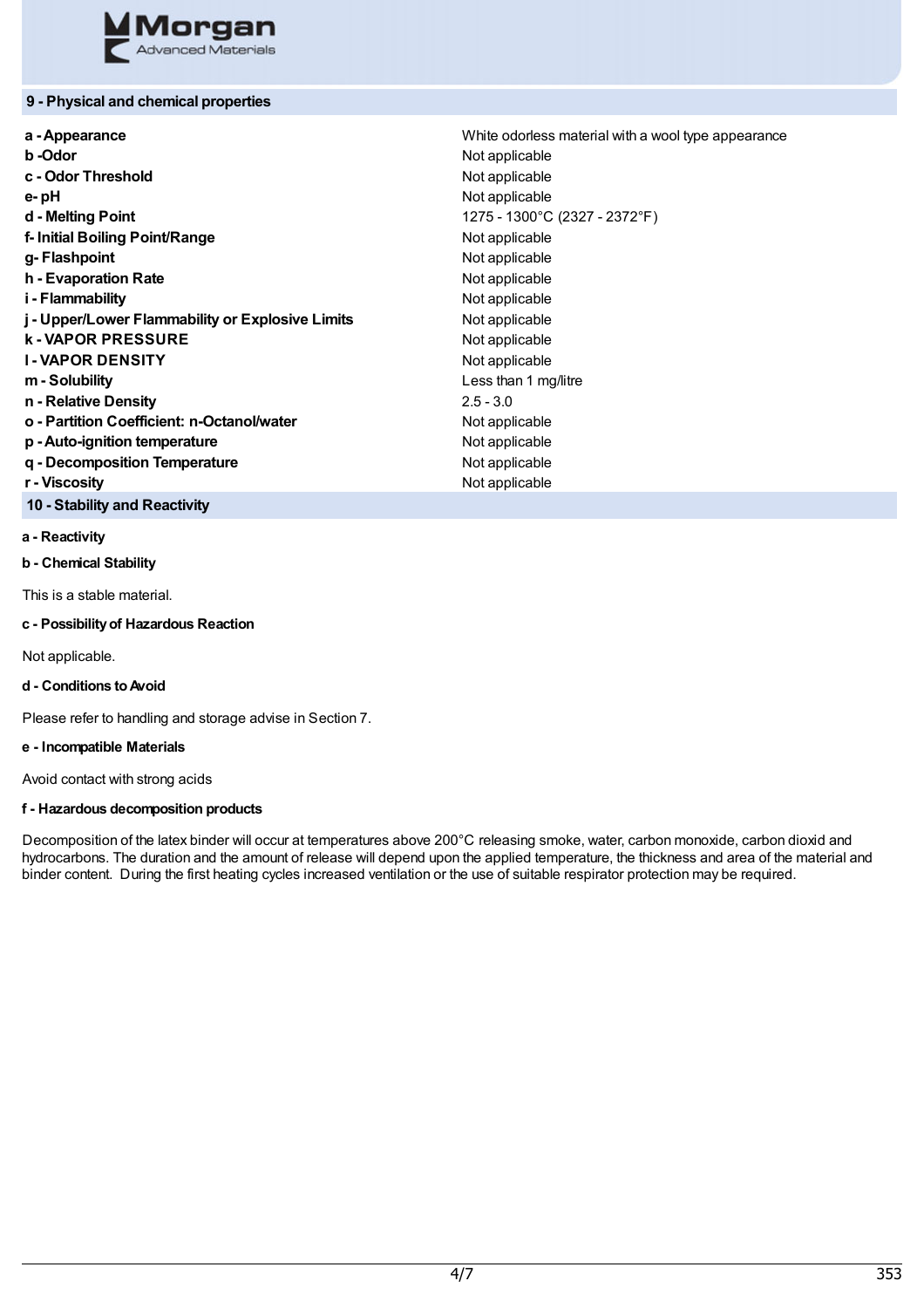

# **9 - Physical and chemical properties**

| White odorless material with a wool type appearance |  |
|-----------------------------------------------------|--|
| Not applicable                                      |  |
| Not applicable                                      |  |
| Not applicable                                      |  |
| 1275 - 1300°C (2327 - 2372°F)                       |  |
| Not applicable                                      |  |
| Not applicable                                      |  |
| Not applicable                                      |  |
| Not applicable                                      |  |
| Not applicable                                      |  |
| Not applicable                                      |  |
| Not applicable                                      |  |
| Less than 1 mg/litre                                |  |
| $2.5 - 3.0$                                         |  |
| Not applicable                                      |  |
| Not applicable                                      |  |
| Not applicable                                      |  |
| Not applicable                                      |  |
|                                                     |  |

# **10 - Stability and Reactivity**

### **a - Reactivity**

**b - Chemical Stability**

This is a stable material.

# **c - Possibilityof Hazardous Reaction**

Not applicable.

# **d - Conditions toAvoid**

Please refer to handling and storage advise in Section 7.

# **e - Incompatible Materials**

Avoid contact with strong acids

# **f - Hazardous decomposition products**

Decomposition of the latex binder will occur at temperatures above 200°C releasing smoke, water, carbon monoxide, carbon dioxid and hydrocarbons. The duration and the amount of release will depend upon the applied temperature, the thickness and area of the material and binder content. During the first heating cycles increased ventilation or the use of suitable respirator protection may be required.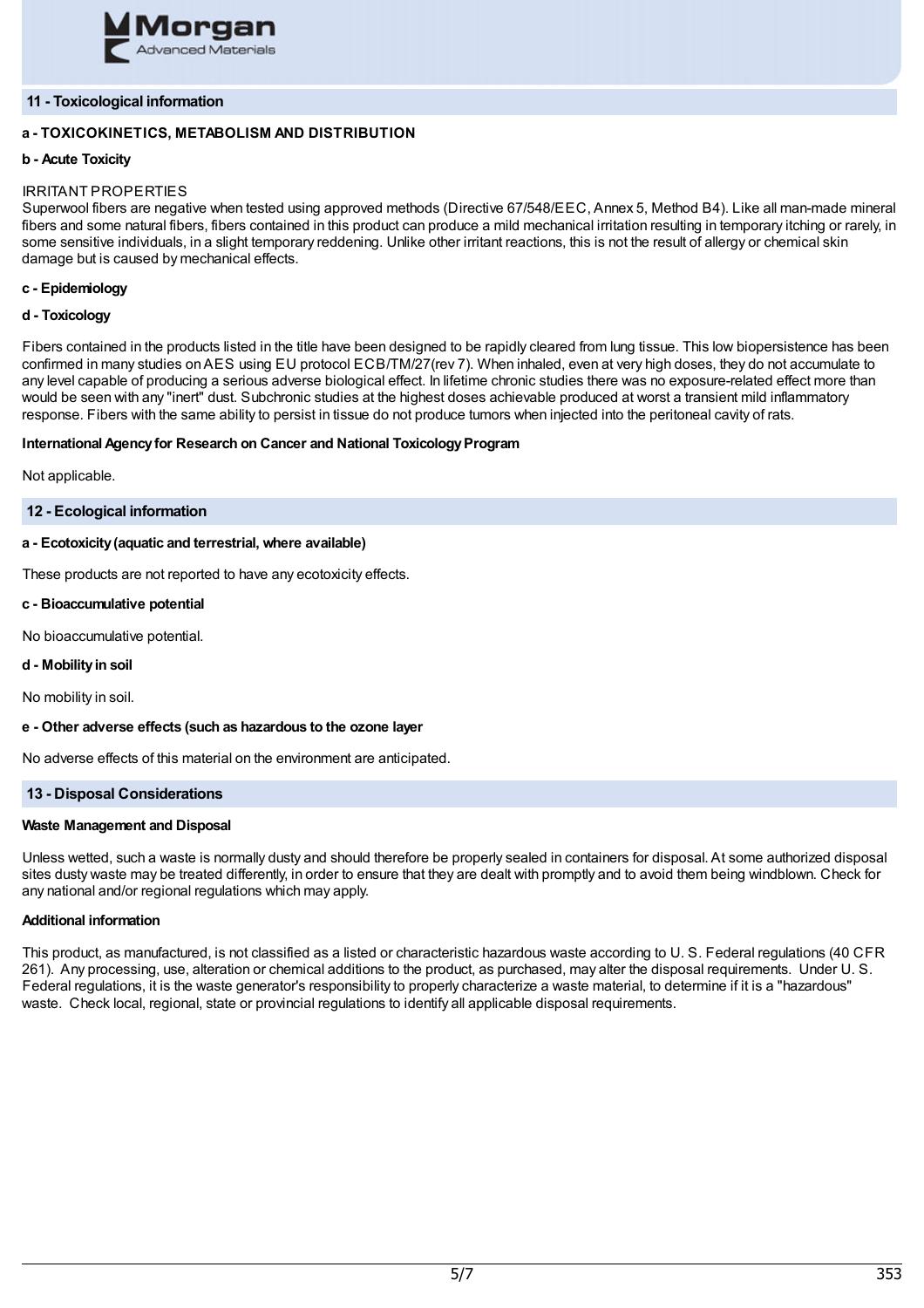

# **11 - Toxicological information**

# **a - TOXICOKINETICS, METABOLISM AND DISTRIBUTION**

# **b - Acute Toxicity**

# IRRITANT PROPERTIES

Superwool fibers are negative when tested using approved methods (Directive 67/548/EEC, Annex 5, Method B4). Like all man-made mineral fibers and some natural fibers, fibers contained in this product can produce a mild mechanical irritation resulting in temporary itching or rarely, in some sensitive individuals, in a slight temporary reddening. Unlike other irritant reactions, this is not the result of allergy or chemical skin damage but is caused by mechanical effects.

# **c - Epidemiology**

### **d - Toxicology**

Fibers contained in the products listed in the title have been designed to be rapidly cleared from lung tissue. This low biopersistence has been confirmed in many studies onAES using EU protocol ECB/TM/27(rev 7). When inhaled, even at very high doses, they do not accumulate to any level capable of producing a serious adverse biological effect. In lifetime chronic studies there was no exposure-related effect more than would be seen with any "inert" dust. Subchronic studies at the highest doses achievable produced at worst a transient mild inflammatory response. Fibers with the same ability to persist in tissue do not produce tumors when injected into the peritoneal cavity of rats.

### **International Agency for Research on Cancer and National Toxicology Program**

Not applicable.

### **12 - Ecological information**

## **a - Ecotoxicity(aquatic and terrestrial, where available)**

These products are not reported to have any ecotoxicity effects.

### **c - Bioaccumulative potential**

No bioaccumulative potential.

### **d - Mobilityin soil**

No mobility in soil.

### **e - Other adverse effects (such as hazardous to the ozone layer**

No adverse effects of this material on the environment are anticipated.

# **13 - Disposal Considerations**

### **Waste Management and Disposal**

Unless wetted, such a waste is normally dusty and should therefore be properly sealed in containers for disposal. At some authorized disposal sites dusty waste may be treated differently, in order to ensure that they are dealt with promptly and to avoid them being windblown. Check for any national and/or regional regulations which may apply.

# **Additional information**

This product, as manufactured, is not classified as a listed or characteristic hazardous waste according to U. S. Federal regulations (40 CFR 261). Any processing, use, alteration or chemical additions to the product, as purchased, may alter the disposal requirements. Under U. S. Federal regulations, it is the waste generator's responsibility to properly characterize a waste material, to determine if it is a "hazardous" waste. Check local, regional, state or provincial regulations to identify all applicable disposal requirements.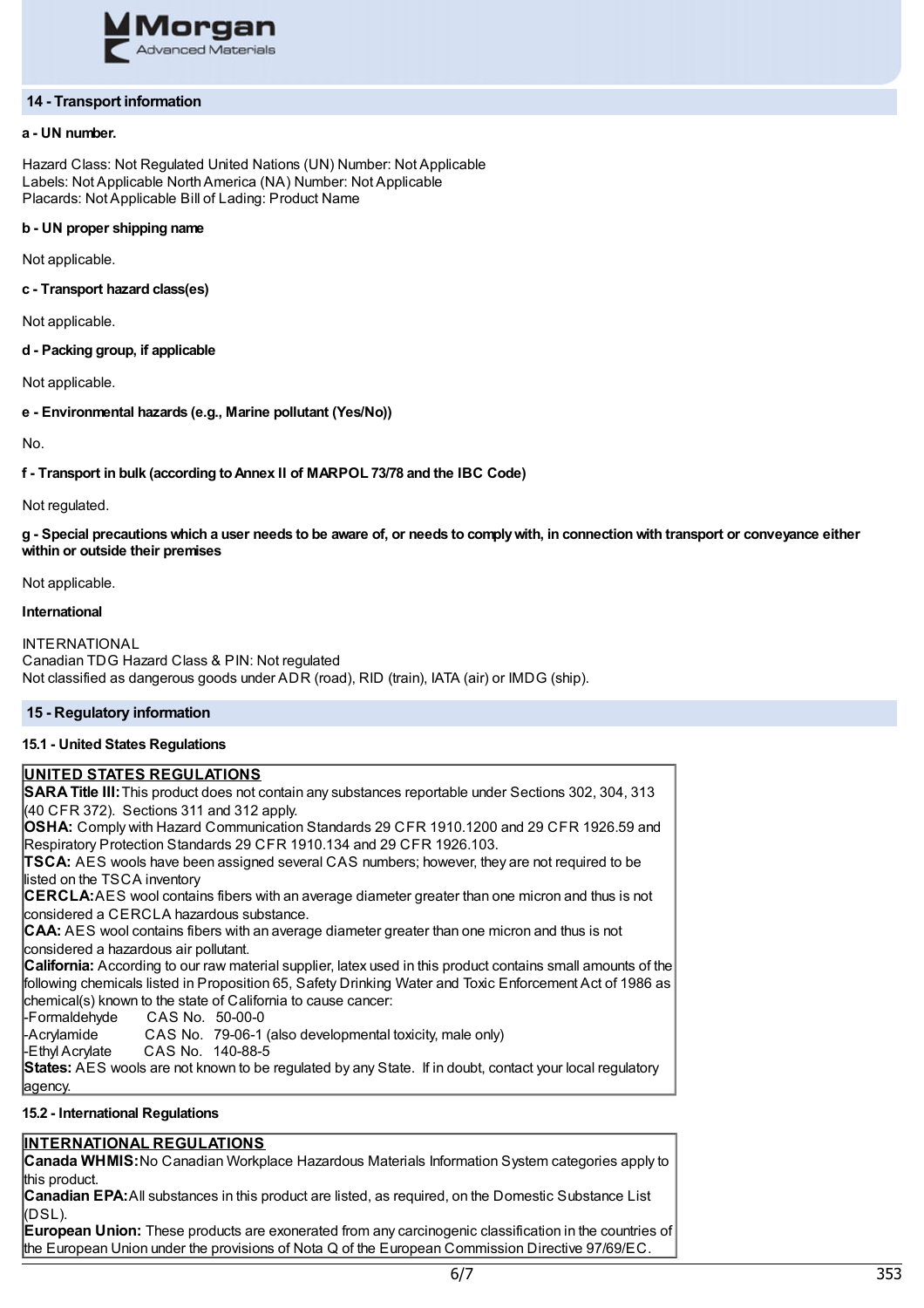

### **14 - Transport information**

## **a - UN number.**

Hazard Class: Not Regulated United Nations (UN) Number: Not Applicable Labels: Not Applicable NorthAmerica (NA) Number: Not Applicable Placards: Not Applicable Bill of Lading: Product Name

## **b - UN proper shipping name**

Not applicable.

### **c - Transport hazard class(es)**

Not applicable.

# **d - Packing group, if applicable**

Not applicable.

### **e - Environmental hazards (e.g., Marine pollutant (Yes/No))**

No.

### **f - Transport in bulk (according toAnnex II of MARPOL 73/78 and the IBC Code)**

Not regulated.

g - Special precautions which a user needs to be aware of, or needs to comply with, in connection with transport or conveyance either **within or outside their premises**

Not applicable.

# **International**

INTERNATIONAL Canadian TDG Hazard Class & PIN: Not regulated Not classified as dangerous goods under ADR (road), RID (train), IATA (air) or IMDG (ship).

# **15 - Regulatory information**

# **15.1 - United States Regulations**

# **UNITED STATES REGULATIONS**

**SARATitle III:**This product does not contain any substances reportable under Sections 302, 304, 313 (40 CFR 372). Sections 311 and 312 apply.

**OSHA:** Comply with Hazard Communication Standards 29 CFR 1910.1200 and 29 CFR 1926.59 and Respiratory Protection Standards 29 CFR 1910.134 and 29 CFR 1926.103.

**TSCA:** AES wools have been assigned several CAS numbers; however, they are not required to be listed on the TSCA inventory

**CERCLA:**AES wool contains fibers with an average diameter greater than one micron and thus is not considered a CERCLA hazardous substance.

**CAA:** AES wool contains fibers with an average diameter greater than one micron and thus is not considered a hazardous air pollutant.

**California:** According to our raw material supplier, latex used in this product contains small amounts of the following chemicals listed in Proposition 65, Safety Drinking Water and Toxic Enforcement Act of 1986 as chemical(s) known to the state of California to cause cancer:

-Formaldehyde CAS No. 50-00-0

CAS No. 79-06-1 (also developmental toxicity, male only)

-Ethyl Acrylate CAS No. 140-88-5

**States:** AES wools are not known to be regulated by any State. If in doubt, contact your local regulatory agency.

### **15.2 - International Regulations**

# **INTERNATIONAL REGULATIONS**

**Canada WHMIS:**No Canadian Workplace Hazardous Materials Information System categories apply to this product.

**Canadian EPA:**All substances in this product are listed, as required, on the Domestic Substance List (DSL).

**European Union:** These products are exonerated from any carcinogenic classification in the countries of the European Union under the provisions of Nota Q of the European Commission Directive 97/69/EC.